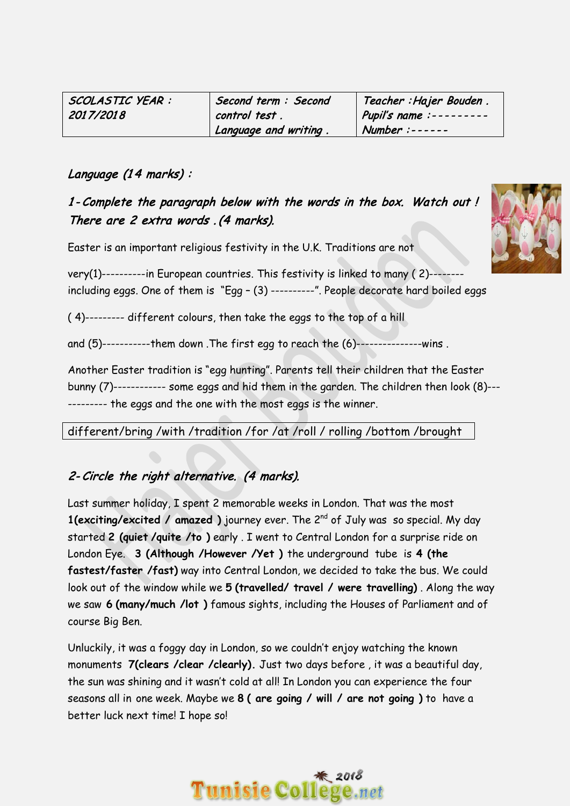| SCOLASTIC YEAR : | Second term: Second  | Teacher: Hajer Bouden.         |
|------------------|----------------------|--------------------------------|
| 2017/2018        | control test.        | <i>Pupil's name :---------</i> |
|                  | Language and writing | $Number:---$                   |

#### Language (14 marks):

#### 1 - Complete the paragraph below with the words in the box. Watch out ! There are 2 extra words . (4 marks).

Easter is an important religious festivity in the U.K. Traditions are not

very(1)----------in European countries. This festivity is linked to many ( 2)------- including eggs. One of them is "Egg – (3) ----------". People decorate hard boiled eggs

( 4)--------- different colours, then take the eggs to the top of a hill

and (5)-----------them down .The first egg to reach the (6)---------------wins .

Another Easter tradition is "egg hunting". Parents tell their children that the Easter bunny (7)------------ some eggs and hid them in the garden. The children then look (8)--- --------- the eggs and the one with the most eggs is the winner.

different/bring /with /tradition /for /at /roll / rolling /bottom /brought

#### 2- Circle the right alternative. (4 marks).

Last summer holiday, I spent 2 memorable weeks in London. That was the most 1(exciting/excited / amazed ) journey ever. The 2<sup>nd</sup> of July was so special. My day started **2 (quiet /quite /to )** early . I went to Central London for a surprise ride on London Eye. **3 (Although /However /Yet )** the underground tube is **4 (the fastest/faster /fast)** way into Central London, we decided to take the bus. We could look out of the window while we **5 (travelled/ travel / were travelling)** . Along the way we saw **6 (many/much /lot )** famous sights, including the Houses of Parliament and of course Big Ben.

Unluckily, it was a foggy day in London, so we couldn't enjoy watching the known monuments **7(clears /clear /clearly).** Just two days before , it was a beautiful day, the sun was shining and it wasn't cold at all! In London you can experience the four seasons all in one week. Maybe we **8 ( are going / will / are not going )** to have a better luck next time! I hope so!



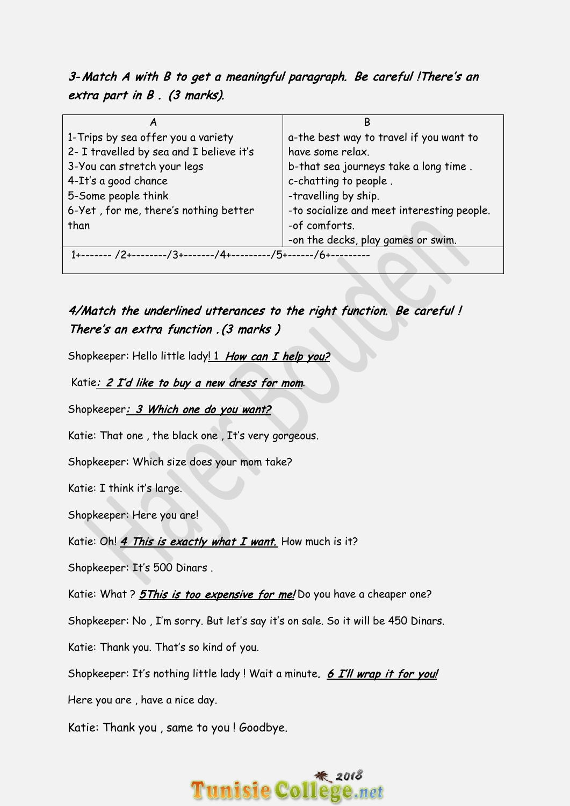## 3- Match A with B to get a meaningful paragraph. Be careful !There's an extra part in B . (3 marks).

|                                          | R                                          |  |
|------------------------------------------|--------------------------------------------|--|
| 1-Trips by sea offer you a variety       | a-the best way to travel if you want to    |  |
| 2- I travelled by sea and I believe it's | have some relax.                           |  |
| 3-You can stretch your legs              | b-that sea journeys take a long time.      |  |
| 4-It's a good chance                     | c-chatting to people.                      |  |
| 5-Some people think                      | -travelling by ship.                       |  |
| 6-Yet, for me, there's nothing better    | -to socialize and meet interesting people. |  |
| than                                     | -of comforts.                              |  |
|                                          | -on the decks, play games or swim.         |  |
| -/5+------/6+                            |                                            |  |

# 4/Match the underlined utterances to the right function. Be careful ! There's an extra function . (3 marks )

Shopkeeper: Hello little lady<u>! 1 How can I help you?</u>

Katie<u>: *2 I'd like to buy a new dress for mom*</u>.

Shopkeeper<u>: 3 Which one do you want?</u>

Katie: That one , the black one , It's very gorgeous.

Shopkeeper: Which size does your mom take?

Katie: I think it's large.

Shopkeeper: Here you are!

Katie: Oh! <mark>4 *This is exactly what I want.*</mark> How much is it?

Shopkeeper: It's 500 Dinars .

Katie: What ? <u>5Th*is is too expensive for me!* Do you have a cheaper one?</u>

Shopkeeper: No , I'm sorry. But let's say it's on sale. So it will be 450 Dinars.

Katie: Thank you. That's so kind of you.

Shopkeeper: It's nothing little lady ! Wait a minute. 6 I'll wrap it for you!

Here you are , have a nice day.

Katie: Thank you , same to you ! Goodbye.

### $*$  201 unisie Coll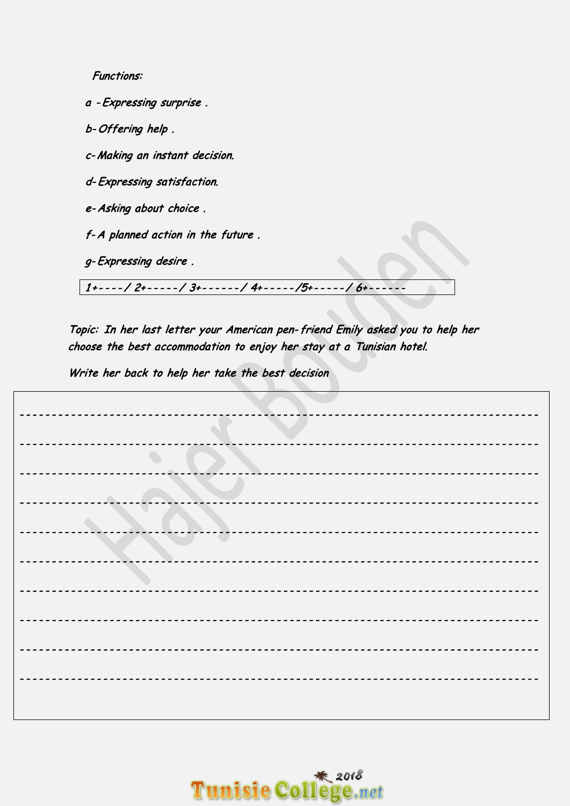**Functions:** 

a - Expressing surprise.

b-Offering help.

c-Making an instant decision.

d-Expressing satisfaction.

e- Asking about choice.

f-A planned action in the future.

g-Expressing desire.

 $1+---/2+---/3+---/4+---/5+---/6+---$ 

Topic: In her last letter your American pen-friend Emily asked you to help her choose the best accommodation to enjoy her stay at a Tunisian hotel.

Write her back to help her take the best decision

# and a sie College"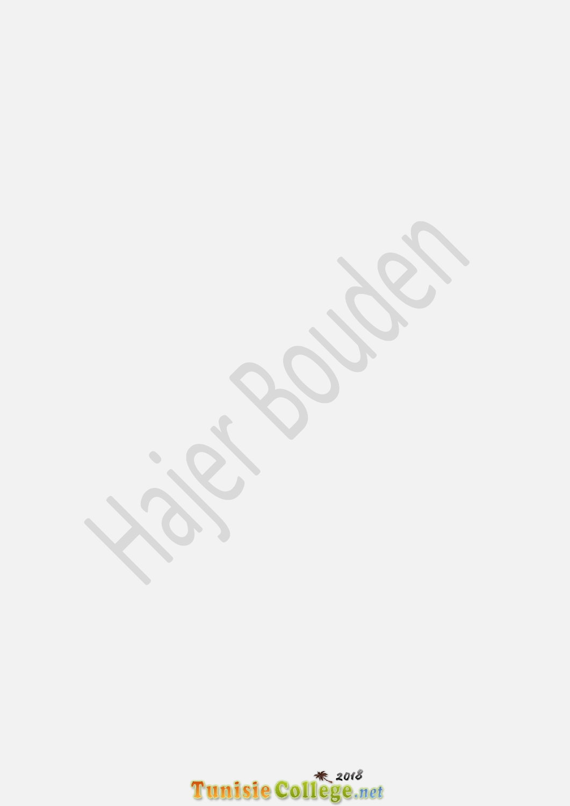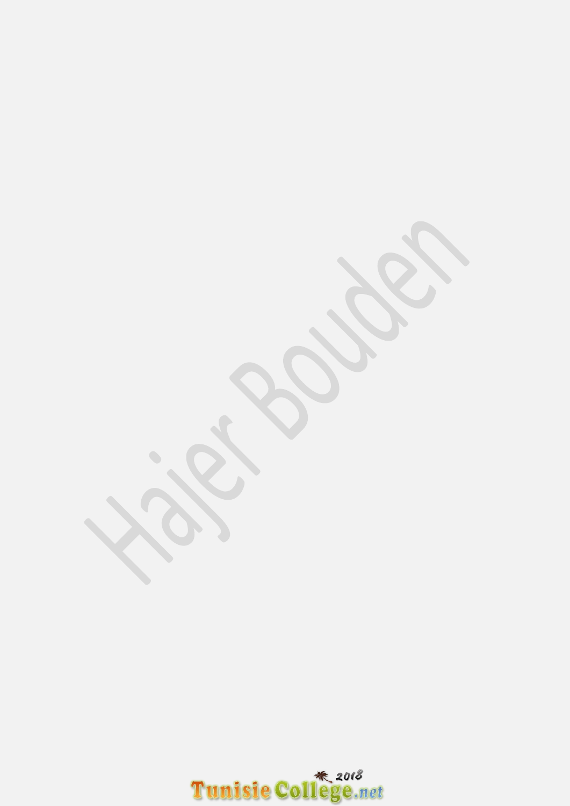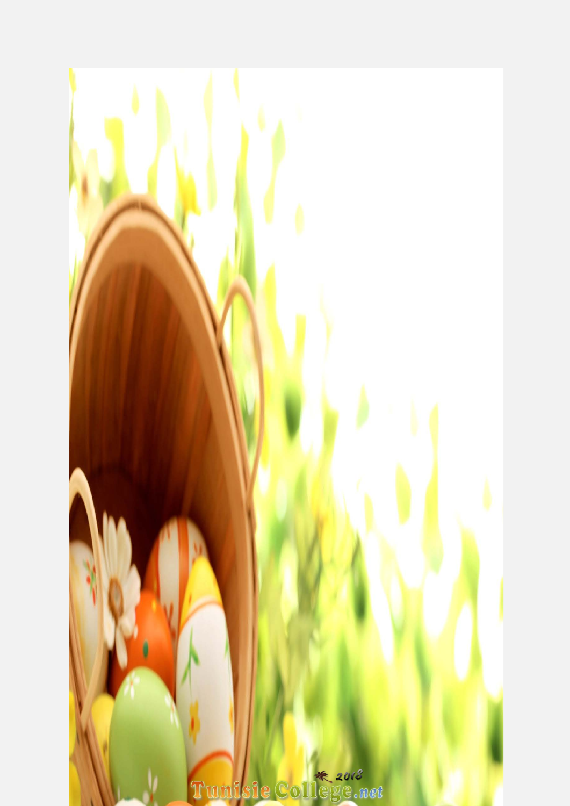